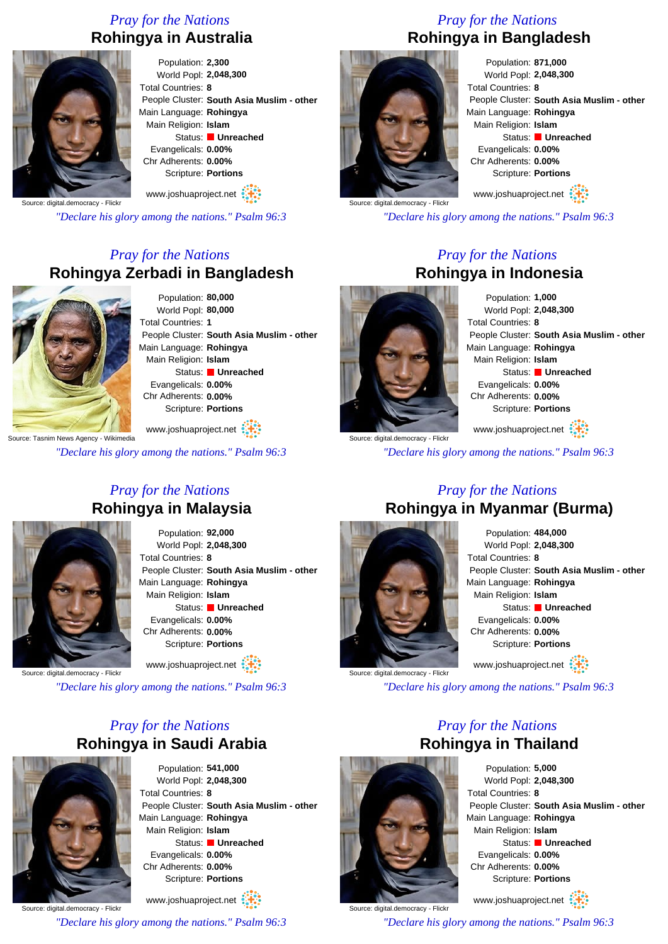## *Pray for the Nations* **Rohingya in Australia**



Population: **2,300** World Popl: **2,048,300** Total Countries: **8** People Cluster: **South Asia Muslim - other** Main Language: **Rohingya** Main Religion: **Islam** Status: **Unreached** Evangelicals: **0.00%** Chr Adherents: **0.00%** Scripture: **Portions**

www.joshuaproject.net

*"Declare his glory among the nations." Psalm 96:3*

#### *Pray for the Nations* **Rohingya Zerbadi in Bangladesh**



Population: **80,000** World Popl: **80,000** Total Countries: **1** People Cluster: **South Asia Muslim - other** Main Language: **Rohingya** Main Religion: **Islam** Status: **Unreached** Evangelicals: **0.00%** Chr Adherents: **0.00%** Scripture: **Portions**

Source: Tasnim News Agency - Wikimedia www.joshuaproject.net

*"Declare his glory among the nations." Psalm 96:3*

#### *Pray for the Nations* **Rohingya in Malaysia**



Population: **92,000** World Popl: **2,048,300** Total Countries: **8** People Cluster: **South Asia Muslim - other** Main Language: **Rohingya** Main Religion: **Islam** Status: **Unreached** Evangelicals: **0.00%** Chr Adherents: **0.00%** Scripture: **Portions**

Source: digital.democracy - Flick

*"Declare his glory among the nations." Psalm 96:3*

www.joshuaproject.net

## *Pray for the Nations* **Rohingya in Saudi Arabia**



Population: **541,000** World Popl: **2,048,300** Total Countries: **8** People Cluster: **South Asia Muslim - other** Main Language: **Rohingya** Main Religion: **Islam** Status: **Unreached** Evangelicals: **0.00%** Chr Adherents: **0.00%** Scripture: **Portions**

Source: digital.democracy - Flick www.joshuaproject.net

*"Declare his glory among the nations." Psalm 96:3*

### *Pray for the Nations* **Rohingya in Bangladesh**



Population: **871,000** World Popl: **2,048,300** Total Countries: **8** People Cluster: **South Asia Muslim - other** Main Language: **Rohingya** Main Religion: **Islam** Status: **Unreached** Evangelicals: **0.00%** Chr Adherents: **0.00%** Scripture: **Portions** www.joshuaproject.net

*"Declare his glory among the nations." Psalm 96:3*

#### *Pray for the Nations* **Rohingya in Indonesia**



Population: **1,000** World Popl: **2,048,300** Total Countries: **8** People Cluster: **South Asia Muslim - other** Main Language: **Rohingya** Main Religion: **Islam** Status: **Unreached** Evangelicals: **0.00%** Chr Adherents: **0.00%** Scripture: **Portions** www.joshuaproject.net

*"Declare his glory among the nations." Psalm 96:3*

### *Pray for the Nations* **Rohingya in Myanmar (Burma)**



Population: **484,000** World Popl: **2,048,300** Total Countries: **8** People Cluster: **South Asia Muslim - other** Main Language: **Rohingya** Main Religion: **Islam** Status: **Unreached** Evangelicals: **0.00%** Chr Adherents: **0.00%** Scripture: **Portions** www.joshuaproject.net

*"Declare his glory among the nations." Psalm 96:3*

### *Pray for the Nations* **Rohingya in Thailand**



Source: digital.democracy - Flick

Population: **5,000** World Popl: **2,048,300** Total Countries: **8** People Cluster: **South Asia Muslim - other** Main Language: **Rohingya** Main Religion: **Islam** Status: **Unreached** Evangelicals: **0.00%** Chr Adherents: **0.00%** Scripture: **Portions**

www.joshuaproject.net

*"Declare his glory among the nations." Psalm 96:3*